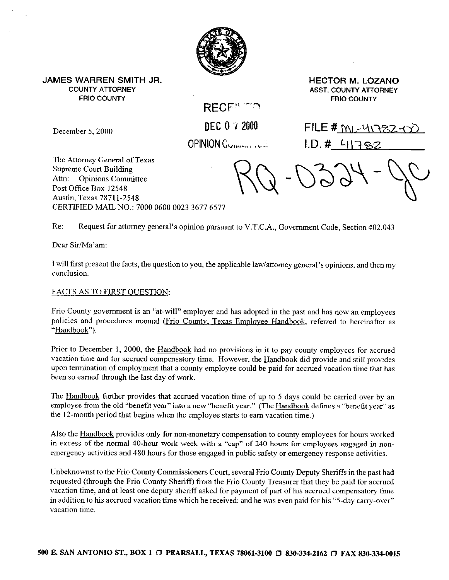

**JAMES WARREN SMITH JR. HECTOR M. LOZANO FRIO COUNTY FRIO COUNTY** 

**COUNTY ATTORNEY ASST. COUNTY AlTORNEY** 

**RECF" ^^** 

December 5, 2000 **DEC 0 'i 2000 FILE # ML-41782-47 OPINION CUMMATE:** 1.D. # 41 \782  $\sim$   $\sim$   $\cdot$   $\cdot$ 

u

The Attorney General of Texas Supreme Court Building Attn: Opinions Committee Post Office Box 12548 Austin, Texas 7871 I-2548 CERTIFIED MAIL NO.: 7000 0600 0023 3677 6577

Re: Request for attorney general's opinion pursuant to V.T.C.A., Government Code, Section 402.043

Dear Sir/Ma'am:

I will first present the facts, the question to you, the applicable law/attorney general's opinions, and then my conclusion.

# FACTS AS TO FIRST QUESTION:

Frio County government is an "at-will" employer and has adopted in the past and has now an employees policies and procedures manual (Frio Countv, Texas Employee Handbook, referred to hereinafter as "Handbook").

Prior to December 1, 2000, the Handbook had no provisions in it to pay county employees for accrued vacation time and for accrued compensatory time. However, the Handbook did provide and still provides upon termination of employment that a county employee could be paid for accrued vacation time that has been so earned through the last day of work.

The Handbook further provides that accrued vacation time of up to 5 days could be carried over by an employee from the old "benefit year" into a new "benefit year." (The Handbook defines a "benefit year" as the 12-month period that begins when the employee starts to earn vacation time.)

Also the Handbook provides only for non-monetary compensation to county employees for hours worked in excess of the normal 40-hour work week with a "cap" of 240 hours for employees engaged in nonemergency activities and 480 hours for those engaged in public safety or emergency response activities.

Unbeknownst to the Frio County Commissioners Court, several Frio County Deputy Sheriffs in the past had requested (through the Frio County Sheriff) from the Frio County Treasurer that they be paid for accrued vacation time, and at least one deputy sheriff asked for payment of part of his accrued compensatory time in addition to his accrued vacation time which he received; and he was even paid for his "5.day carry-over" vacation time.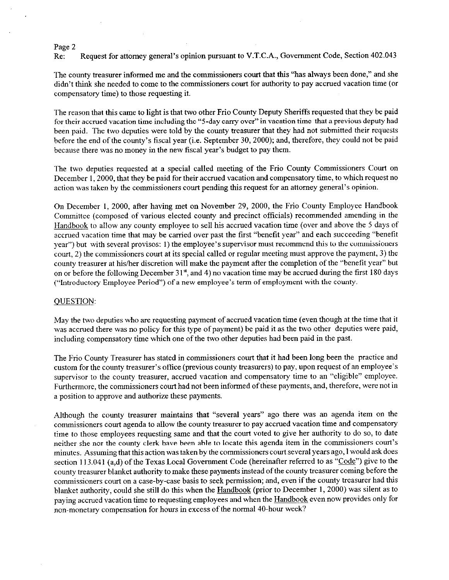#### Page 2

Re: Request for attorney general's opinion pursuant to V.T.C.A., Government Code, Section 402.043

The county treasurer informed me and the commissioners court that this "has always been done," and she didn't think she needed to come to the commissioners court for authority to pay accrued vacation time (or compensatory time) to those requesting it.

The reason that this came to light is that two other Frio County Deputy Sheriffs requested that they be paid for their accrued vacation time including the "5-day carry over" in vacation time that a previous deputy had been paid. The two deputies were told by the county treasurer that they had not submitted their requests before the end of the county's fiscal year (i.e. September 30, 2000); and, therefore, they could not be paid because there was no money in the new fiscal year's budget to pay them.

The two deputies requested at a special called meeting of the Frio County Commissioners Court on December 1, 2000, that they be paid for their accrued vacation and compensatory time, to which request no action was taken by the commissioners court pending this request for an attorney general's opinion.

On December 1, 2000, after having met on November 29, 2000, the Frio County Employee Handbook Committee (composed of various elected county and precinct officials) recommended amending in the Handbook to allow any county employee to sell his accrued vacation time (over and above the 5 days of accrued vacation time that may be carried over past the first "benefit year" and each succeeding "benefit year") but with several provisos: 1) the employee's supervisor must recommend this to the commissioners court, 2) the commissioners court at its special called or regular meeting must approve the payment, 3) the county treasurer at his/her discretion will make the payment after the completion of the "benefit year" but on or before the following December 31<sup>st</sup>, and 4) no vacation time may be accrued during the first 180 days ("Introductory Employee Period") of a new employee's term of employment with the county.

## OUESTION:

May the two deputies who are requesting payment of accrued vacation time (even though at the time that it was accrued there was no policy for this type of payment) be paid it as the two other deputies were paid, including compensatory time which one of the two other deputies had been paid in the past.

The Frio County Treasurer has stated in commissioners court that it had been long been the practice and custom for the county treasurer's office (previous county treasurers) to pay, upon request of an employee's supervisor to the county treasurer, accrued vacation and compensatory time to an "eligible" employee. Furthermore, the commissioners court had not been informed of these payments, and, therefore, were not in a position to approve and authorize these payments.

Although the county treasurer maintains that "several years" ago there was an agenda item on the commissioners court agenda to allow the county treasurer to pay accrued vacation time and compensatory time to those employees requesting same and that the court voted to give her authority to do so, to date neither she nor the county clerk have been able to locate this agenda item in the commissioners court's minutes. Assuming that this action was taken by the commissioners court several years ago, I would ask does section 113.041 (a,d) of the Texas Local Government Code (hereinafter referred to as "Code") give to the county treasurer blanket authority to make these payments instead of the county treasurer coming before the commissioners court on a case-by-case basis to seek permission; and, even if the county treasurer had this<br>blanket authority, could she still do this when the Handbook (prior to December 1, 2000) was silent as to blanket authority, could she still do this when the  $H_0$  (prior to December 1, 2000) was sitent as to paying accrued vacation time to requesting employees and when the Handbook even now provides only for non-monetary compensation for hours in excess of the normal 40.hour week?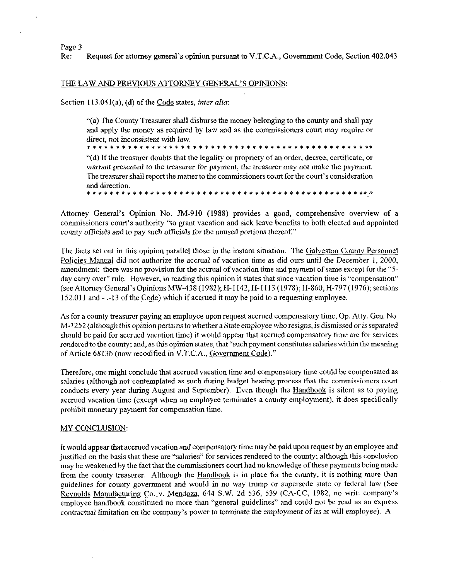Page 3

Re: Request for attorney general's opinion pursuant to V.T.C.A., Government Code, Section 402.043

## THE LAW AND PREVIOUS ATTORNEY GENERAL'S OPINIONS:

Section 113.041(a), (d) of the Code states, *inter alia*:

"(a) The County Treasurer shall disburse the money belonging to the county and shall pay and apply the money as required by law and as the commissioners court may require or direct, not inconsistent with law.

"(d) If the treasurer doubts that the legality or propriety of an order, decree, certificate, or warrant presented to the treasurer for payment, the treasurer may not make the payment. The treasurer shall report the matter to the commissioners court for the court's consideration and direction.<br>\*\*\*\*\*\*\*\*\*

Attorney General's Opinion No. IM-910 (1988) provides a good, comprehensive overview of a commissioners court's authority "to grant vacation and sick leave benefits to both elected and appointed county officials and to pay such officials for the unused portions thereof."

The facts set out in this opinion parallel those in the instant situation. The Galveston Countv Personnel Policies Manual did not authorize the accrual of vacation time as did ours until the December 1, 2000, amendment: there was no provision for the accrual of vacation time and payment of same except for the "5day carry over" rule. However, in reading this opinion it states that since vacation time is "compensation" (see Attorney General's OpinionsMW-438(1982); H-l 142, H-l 113 (1978); H-860, H-797(1976); sections 152.011 and - .-13 of the Code) which if accrued it may be paid to a requesting employee.

As for a county treasurer paying an employee upon request accrued compensatory time, Op. Atty. Gen. No. M-1252 (although this opinion pertains to whether a State employee who resigns, is dismissed or is separated should be paid for accrued vacation time) it would appear that accrued compensatory time are for services rendered to the county; and, as this opinion states, that "suchpayment constitutes salaries within the meaning of Article 6813b (now recodified in V.T.C.A., Government Code)."

Therefore, one might conclude that accrued vacation time and compensatory time could be compensated as salaries (although not contemplated as such during budget hearing process that the commissioners court conducts every year during August and September). Even though the Handbook is silent as to paying accrued vacation time (except when an employee terminates a county employment), it does specifically prohibit monetary payment for compensation time.

#### MY CONCLUSION:

It would appear that accrued vacation and compensatory time may be paid upon request by an employee and justified on the basis that these are "salaries" for services rendered to the county; although this conclusion may be weakened by the fact that the commissioners court had no knowledge of these payments being made from the county treasurer. Although the Handbook is in place for the county, it is nothing more than guidelines for county government and would in no way trump or supersede state or federal law (See Reynolds Manufacturing Co. v. Mendoza, 644 S.W. 2d 536, 539 (CA-CC, 1982, no writ: company's employee handbook constituted no more than "general guidelines" and could not be read as an express contractual limitation on the company's power to terminate the employment of its at will employee). A